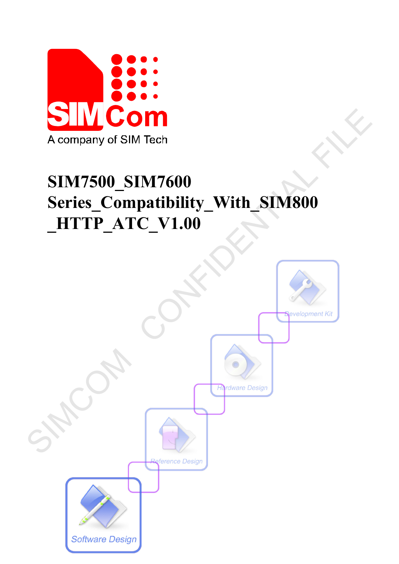

# **SIM7500\_SIM7600 Series\_Compatibility\_With\_SIM800 \_HTTP\_ATC\_V1.00**

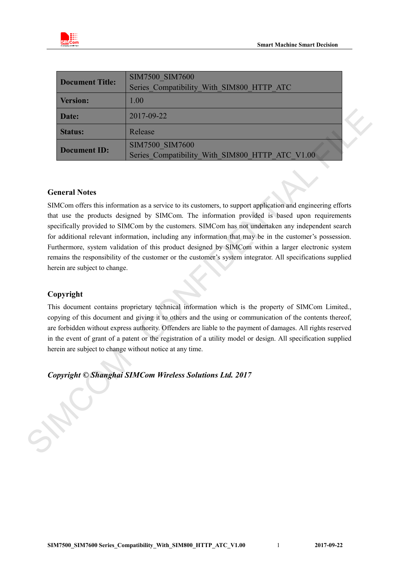

|                 | SIM7500 SIM7600                                 |  |
|-----------------|-------------------------------------------------|--|
| Document Title: | Series Compatibility_With_SIM800_HTTP_ATC       |  |
| <b>Version:</b> | 1.00                                            |  |
| Date:           | 2017-09-22                                      |  |
| <b>Status:</b>  | Release                                         |  |
|                 | SIM7500 SIM7600                                 |  |
| Document ID:    | Series Compatibility With SIM800 HTTP ATC V1.00 |  |

#### **General Notes**

SIMCom offers this information as a service to its customers, to support application and engineering efforts that use the products designed by SIMCom. The information provided is based upon requirements specifically provided to SIMCom by the customers. SIMCom has not undertaken any independent search for additional relevant information, including any information that may be in the customer's possession. Furthermore, system validation of this product designed by SIMCom within a larger electronic system remains the responsibility of the customer or the customer's system integrator. All specifications supplied herein are subject to change. **Example 12017-09-22**<br> **SIMCOM Release**<br> **Release**<br> **Document ID:** SIMCOM SIMCOO SIMCOO SIMCOO SIMCOO SETTE ATC V1.00<br>
Series. Compatibility With SIM800 HTTP ATC V1.00<br>
Series. Compatibility With SIM800 HTTP ATC V1.00<br>
SN

#### **Copyright**

This document contains proprietary technical information which is the property of SIMCom Limited., copying of this document and giving it to others and the using or communication of the contents thereof, are forbidden without express authority. Offenders are liable to the payment of damages. All rights reserved in the event of grant of a patent or the registration of a utility model or design. All specification supplied herein are subject to change without notice at any time.

*Copyright © Shanghai SIMCom Wireless Solutions Ltd. 2017*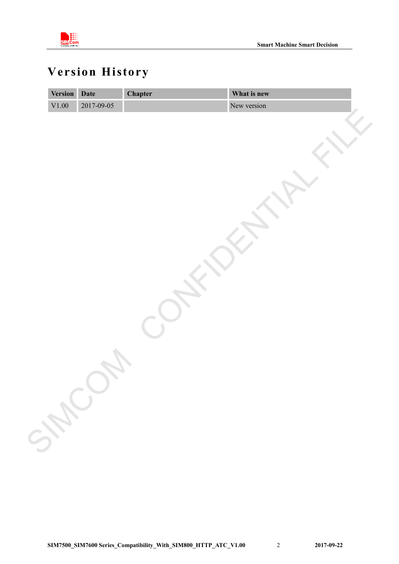

## <span id="page-2-0"></span>**Version History**

| 2017-09-05<br>New version<br>$\rm V1.00$<br>SHEL | <b>Version</b> | Date | <b>Chapter</b> | What is new |
|--------------------------------------------------|----------------|------|----------------|-------------|
|                                                  |                |      |                |             |
|                                                  |                |      |                |             |
|                                                  |                |      |                |             |
|                                                  |                |      |                |             |
|                                                  |                |      |                |             |
|                                                  |                |      |                |             |
|                                                  |                |      |                |             |
|                                                  |                |      |                |             |
|                                                  |                |      |                |             |
|                                                  |                |      |                |             |
|                                                  |                |      |                |             |
|                                                  |                |      |                |             |
|                                                  |                |      |                |             |
|                                                  |                |      |                |             |
|                                                  |                |      |                |             |
|                                                  |                |      |                |             |
|                                                  |                |      |                |             |
|                                                  |                |      |                |             |
|                                                  |                |      |                |             |
|                                                  |                |      |                |             |
|                                                  |                |      |                |             |
|                                                  |                |      |                |             |
|                                                  |                |      |                |             |
|                                                  |                |      |                |             |
|                                                  |                |      |                |             |
|                                                  |                |      |                |             |
|                                                  |                |      |                |             |
|                                                  |                |      |                |             |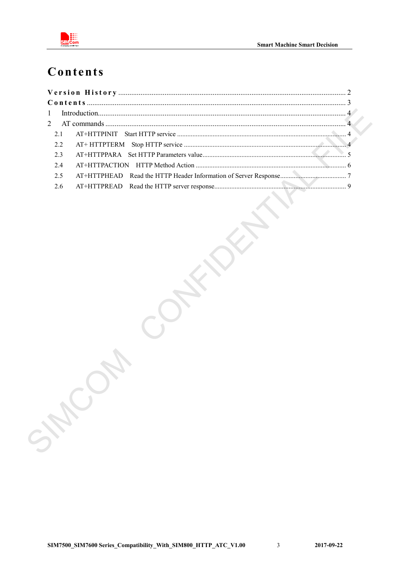

### <span id="page-3-0"></span>Contents

| 2.3 |  |
|-----|--|
| 2.4 |  |
| 2.5 |  |
| 2.6 |  |
|     |  |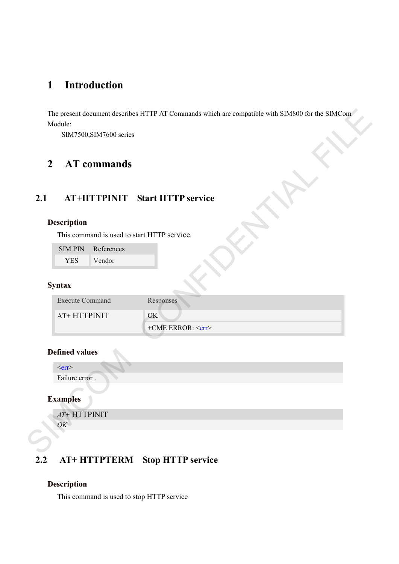### <span id="page-4-0"></span>**1 Introduction**

### <span id="page-4-1"></span>**2 AT commands**

### <span id="page-4-2"></span>**2.1 AT+HTTPINIT Start HTTP service**

#### **Description**

| <b>SIMPIN</b> | References |
|---------------|------------|
| YES.          | Vendor     |

#### **Syntax**

| SIM7500, SIM7600 series                     |                                       |
|---------------------------------------------|---------------------------------------|
| <b>AT</b> commands<br>$\overline{2}$        |                                       |
|                                             | <b>AT+HTTPINIT</b> Start HTTP service |
| <b>Description</b>                          |                                       |
| This command is used to start HTTP service. |                                       |
| References<br><b>SIMPIN</b>                 |                                       |
| Vendor<br><b>YES</b>                        |                                       |
| <b>Syntax</b>                               |                                       |
| <b>Execute Command</b>                      | Responses                             |
| AT+ HTTPINIT                                | OK                                    |
|                                             | +CME ERROR: <err></err>               |
| <b>Defined values</b>                       |                                       |
| $<$ err $>$                                 |                                       |
| Failure error.                              |                                       |
| <b>Examples</b>                             |                                       |
| $AT+ HTTPINIT$                              |                                       |
|                                             |                                       |

#### **Defined values**

#### **Examples**

### <span id="page-4-3"></span>**2.2 AT+ HTTPTERM Stop HTTP service**

#### **Description**

This command is used to stop HTTP service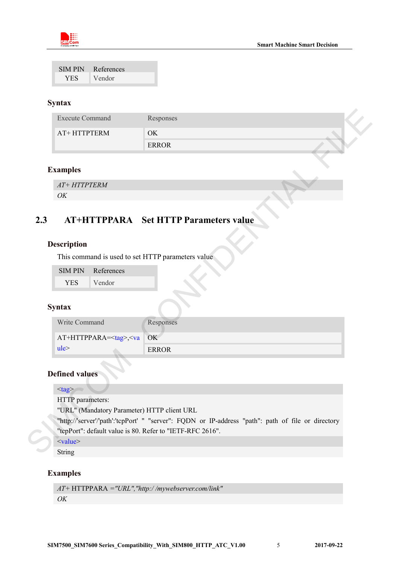

| <b>SIMPIN</b> | References |
|---------------|------------|
| <b>YES</b>    | Vendor     |

#### **Syntax**

|                    |                       | <b>Execute Command</b>                                | Responses                                                                                          |
|--------------------|-----------------------|-------------------------------------------------------|----------------------------------------------------------------------------------------------------|
|                    |                       | AT+HTTPTERM                                           | OK                                                                                                 |
|                    |                       |                                                       | <b>ERROR</b>                                                                                       |
|                    |                       |                                                       |                                                                                                    |
| <b>Examples</b>    |                       |                                                       |                                                                                                    |
|                    | $AT+ HTTPTERM$        |                                                       |                                                                                                    |
| OK                 |                       |                                                       |                                                                                                    |
|                    |                       |                                                       |                                                                                                    |
|                    |                       |                                                       | <b>AT+HTTPPARA</b> Set HTTP Parameters value                                                       |
|                    |                       |                                                       |                                                                                                    |
|                    |                       |                                                       |                                                                                                    |
| <b>Description</b> |                       |                                                       |                                                                                                    |
|                    |                       |                                                       | This command is used to set HTTP parameters value                                                  |
|                    | <b>SIMPIN</b>         | References                                            |                                                                                                    |
|                    | <b>YES</b>            | Vendor                                                |                                                                                                    |
|                    |                       |                                                       |                                                                                                    |
| <b>Syntax</b>      |                       |                                                       |                                                                                                    |
|                    | Write Command         |                                                       | Responses                                                                                          |
|                    |                       | AT+HTTPPARA= <tag>,<va< td=""><td>OK</td></va<></tag> | OK                                                                                                 |
| ule <sup>5</sup>   |                       |                                                       | <b>ERROR</b>                                                                                       |
|                    |                       |                                                       |                                                                                                    |
|                    |                       |                                                       |                                                                                                    |
|                    | <b>Defined values</b> |                                                       |                                                                                                    |
| $<$ tag>           |                       |                                                       |                                                                                                    |
|                    |                       | HTTP parameters:                                      |                                                                                                    |
|                    |                       |                                                       | "URL" (Mandatory Parameter) HTTP client URL                                                        |
|                    |                       |                                                       | "http://'server'/'path':'tcpPort' " "server": FQDN or IP-address "path": path of file or directory |
|                    |                       |                                                       | "tepPort": default value is 80. Refer to "IETF-RFC 2616".                                          |
| $<$ value $>$      |                       |                                                       |                                                                                                    |
| String             |                       |                                                       |                                                                                                    |

#### **Examples**

### <span id="page-5-0"></span>**2.3 AT+HTTPPARA Set HTTP Parameters value**

#### **Description**

| <b>SIMPIN</b> | References |
|---------------|------------|
| YES.          | Vendor     |

#### **Syntax**

| Write Command                   | Responses |
|---------------------------------|-----------|
| $AT+HTTPPARA=<$ tag>, $<$ va OK |           |
| ule <sup>2</sup>                | ERROR     |

#### **Defined values**

#### <value>

String

#### **Examples**

```
AT+ HTTPPARA ="URL","http:/ /mywebserver.com/link"
OK
```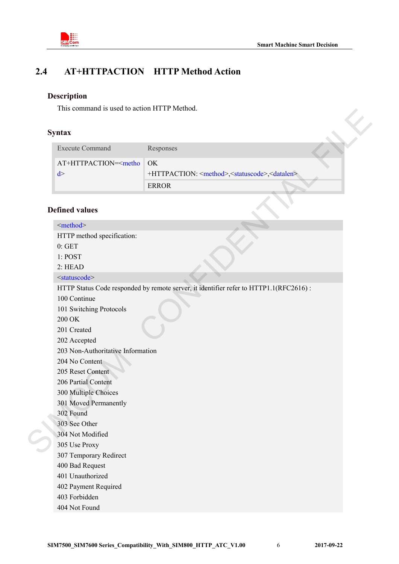

### **2.4 AT+HTTPACTION HTTP Method Action**

#### <span id="page-6-0"></span>**Description**

<mark>¦</mark><br>∷∷<br>Com

This command is used to action HTTP Method.

#### **Syntax**

| <b>Execute Command</b> | Responses                                                                    |  |
|------------------------|------------------------------------------------------------------------------|--|
| $AT+HTTPACTION = 6$    |                                                                              |  |
|                        | +HTTPACTION: <method>,<statuscode>,<datalen></datalen></statuscode></method> |  |
|                        | ERROR                                                                        |  |

#### **Defined values**

| <b>Syntax</b>                                                                                                                                                                                                                                                      |                                                                                                     |
|--------------------------------------------------------------------------------------------------------------------------------------------------------------------------------------------------------------------------------------------------------------------|-----------------------------------------------------------------------------------------------------|
| <b>Execute Command</b>                                                                                                                                                                                                                                             | Responses                                                                                           |
| AT+HTTPACTION= <metho<br>d &gt;</metho<br>                                                                                                                                                                                                                         | OK<br>+HTTPACTION: <method>,<statuscode>,<datalen><br/><b>ERROR</b></datalen></statuscode></method> |
| <b>Defined values</b>                                                                                                                                                                                                                                              |                                                                                                     |
| <method></method>                                                                                                                                                                                                                                                  |                                                                                                     |
| HTTP method specification:<br>0: GET<br>1: POST<br>2: HEAD                                                                                                                                                                                                         |                                                                                                     |
| <statuscode></statuscode>                                                                                                                                                                                                                                          |                                                                                                     |
| 100 Continue<br>101 Switching Protocols<br>200 OK<br>201 Created<br>202 Accepted<br>203 Non-Authoritative Information<br>204 No Content<br>205 Reset Content<br>206 Partial Content<br>300 Multiple Choices<br>301 Moved Permanently<br>302 Found<br>303 See Other | HTTP Status Code responded by remote server, it identifier refer to HTTP1.1(RFC2616):               |
| 304 Not Modified<br>305 Use Proxy<br>307 Temporary Redirect<br>400 Bad Request<br>401 Unauthorized<br>402 Payment Required<br>403 Forbidden                                                                                                                        |                                                                                                     |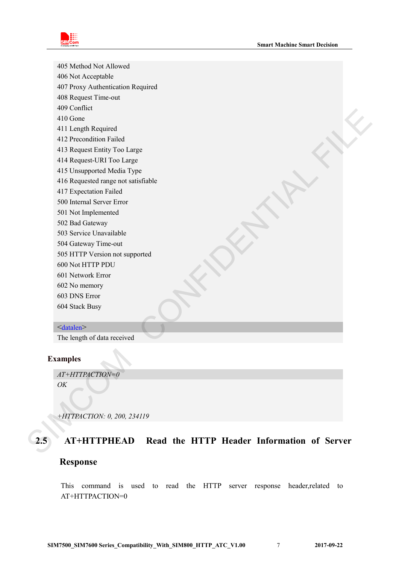

405 Method Not Allowed 406 Not Acceptable 407 Proxy Authentication Required 408 Request Time-out 409 Conflict 410 Gone 411 Length Required 412 Precondition Failed 413 Request Entity Too Large 414 Request-URI Too Large 415 Unsupported Media Type 416 Requested range not satisfiable 417 Expectation Failed 500 Internal Server Error 501 Not Implemented 502 Bad Gateway 503 Service Unavailable 504 Gateway Time-out 505 HTTP Version not supported 600 Not HTTP PDU 601 Network Error 602 No memory 603 DNS Error 604 Stack Busy <datalen> 450 Come<br>
411 Length Required<br>
411 Septembrish Painist<br>
413 Precondition Painist<br>
413 Request Endity Too Large<br>
414 Request LiRT Too Large<br>
416 Note The United Research and Satisfields<br>
417 Lepcelation Pailed<br>
50 M Gul Im

The length of data received

#### **Examples**

*OK*

*AT+HTTPACTION=0*

<span id="page-7-0"></span>*+HTTPACTION: 0, 200, 234119*

### **2.5 AT+HTTPHEAD Read the HTTP Header Information of Server**

#### **Response**

This command is used to read the HTTP server response header,related to AT+HTTPACTION=0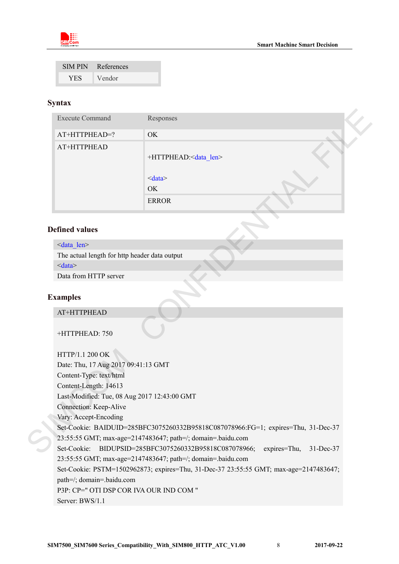

|            | SIM PIN References |
|------------|--------------------|
| <b>YES</b> | Vendor             |

#### **Syntax**

|                                               | Responses                                                                         |
|-----------------------------------------------|-----------------------------------------------------------------------------------|
| AT+HTTPHEAD=?                                 | OK                                                                                |
| AT+HTTPHEAD                                   | +HTTPHEAD: <data_len></data_len>                                                  |
|                                               | < data>                                                                           |
|                                               | OK                                                                                |
|                                               | <b>ERROR</b>                                                                      |
|                                               |                                                                                   |
| <b>Defined values</b>                         |                                                                                   |
| <data len=""></data>                          |                                                                                   |
| The actual length for http header data output |                                                                                   |
| < data>                                       |                                                                                   |
| Data from HTTP server                         |                                                                                   |
|                                               |                                                                                   |
| <b>Examples</b>                               |                                                                                   |
| AT+HTTPHEAD<br>+HTTPHEAD: 750                 |                                                                                   |
| HTTP/1.1 200 OK                               |                                                                                   |
| Date: Thu, 17 Aug 2017 09:41:13 GMT           |                                                                                   |
| Content-Type: text/html                       |                                                                                   |
| Content-Length: 14613                         |                                                                                   |
| Last-Modified: Tue, 08 Aug 2017 12:43:00 GMT  |                                                                                   |
| Connection: Keep-Alive                        |                                                                                   |
| Vary: Accept-Encoding                         |                                                                                   |
|                                               | Set-Cookie: BAIDUID=285BFC3075260332B95818C087078966:FG=1; expires=Thu, 31-Dec-37 |
|                                               | 23:55:55 GMT; max-age=2147483647; path=/; domain=.baidu.com                       |

#### **Defined values**

#### **Examples**

#### AT+HTTPHEAD

HTTP/1.1 200 OK Date: Thu, 17 Aug 2017 09:41:13 GMT Content-Type: text/html Content-Length: 14613 Last-Modified: Tue, 08 Aug 2017 12:43:00 GMT Connection: Keep-Alive Vary: Accept-Encoding Set-Cookie: BAIDUID=285BFC3075260332B95818C087078966:FG=1; expires=Thu, 31-Dec-37 23:55:55 GMT; max-age=2147483647; path=/; domain=.baidu.com Set-Cookie: BIDUPSID=285BFC3075260332B95818C087078966; expires=Thu, 31-Dec-37 23:55:55 GMT; max-age=2147483647; path=/; domain=.baidu.com Set-Cookie: PSTM=1502962873; expires=Thu, 31-Dec-37 23:55:55 GMT; max-age=2147483647; path=/; domain=.baidu.com P3P: CP=" OTI DSP COR IVA OUR IND COM " Server: BWS/1.1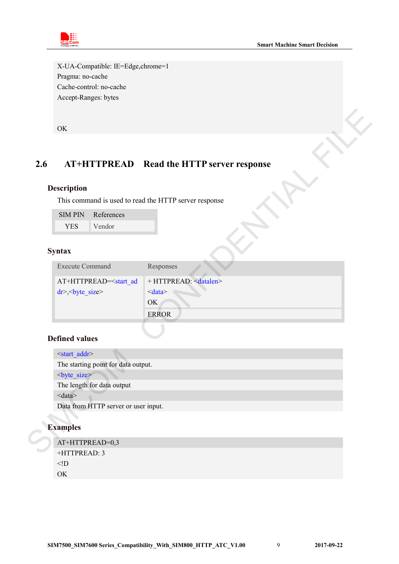X-UA-Compatible: IE=Edge,chrome=1 Pragma: no-cache Cache-control: no-cache Accept-Ranges: bytes

#### <span id="page-9-0"></span>**2.6 AT+HTTPREAD Read the HTTP server response**

#### **Description**

| <b>SIMPIN</b> | References |
|---------------|------------|
| YES.          | Vendor     |

#### **Syntax**

| <b>Execute Command</b>                                                                                  | Responses                     |
|---------------------------------------------------------------------------------------------------------|-------------------------------|
| AT+HTTPREAD= <start ad<="" td=""><td><math>+</math> HTTPREAD: <math>\leq</math>datalen&gt;</td></start> | $+$ HTTPREAD: $\leq$ datalen> |
| $dr$ , size                                                                                             | $\langle data \rangle$        |
|                                                                                                         | OK                            |
|                                                                                                         | <b>ERROR</b>                  |

#### **Defined values**

|     | OK                                                                                 |                                                       |
|-----|------------------------------------------------------------------------------------|-------------------------------------------------------|
| 2.6 |                                                                                    | AT+HTTPREAD Read the HTTP server response             |
|     | <b>Description</b>                                                                 |                                                       |
|     |                                                                                    | This command is used to read the HTTP server response |
|     | References<br><b>SIMPIN</b>                                                        |                                                       |
|     | Vendor<br><b>YES</b>                                                               |                                                       |
|     | <b>Syntax</b>                                                                      |                                                       |
|     | <b>Execute Command</b>                                                             | Responses                                             |
|     | AT+HTTPREAD= <start_ad< td=""><td>+ HTTPREAD: <datalen></datalen></td></start_ad<> | + HTTPREAD: <datalen></datalen>                       |
|     | $dr$ $>$ $\leq$ byte size                                                          | < data>                                               |
|     |                                                                                    | OK                                                    |
|     |                                                                                    | <b>ERROR</b>                                          |
|     | <b>Defined values</b>                                                              |                                                       |
|     | <start addr=""></start>                                                            |                                                       |
|     | The starting point for data output.                                                |                                                       |
|     | <br>byte size>                                                                     |                                                       |
|     | The length for data output<br>$<$ data $>$                                         |                                                       |
|     | Data from HTTP server or user input.                                               |                                                       |
|     | <b>Examples</b>                                                                    |                                                       |
|     | AT+HTTPREAD=0,3                                                                    |                                                       |
|     | +HTTPREAD: 3                                                                       |                                                       |

#### **Examples**